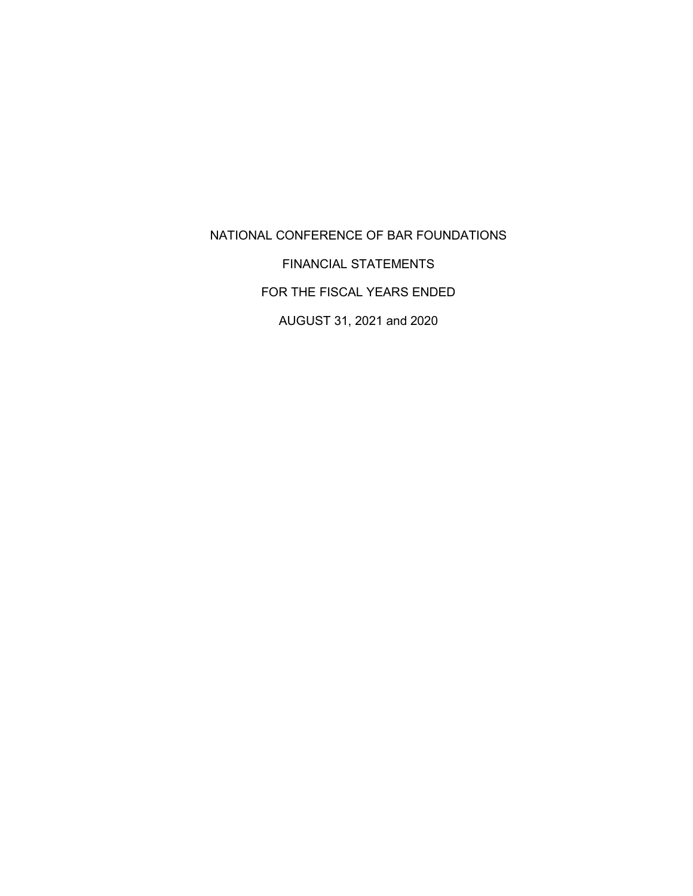NATIONAL CONFERENCE OF BAR FOUNDATIONS FINANCIAL STATEMENTS FOR THE FISCAL YEARS ENDED AUGUST 31, 2021 and 2020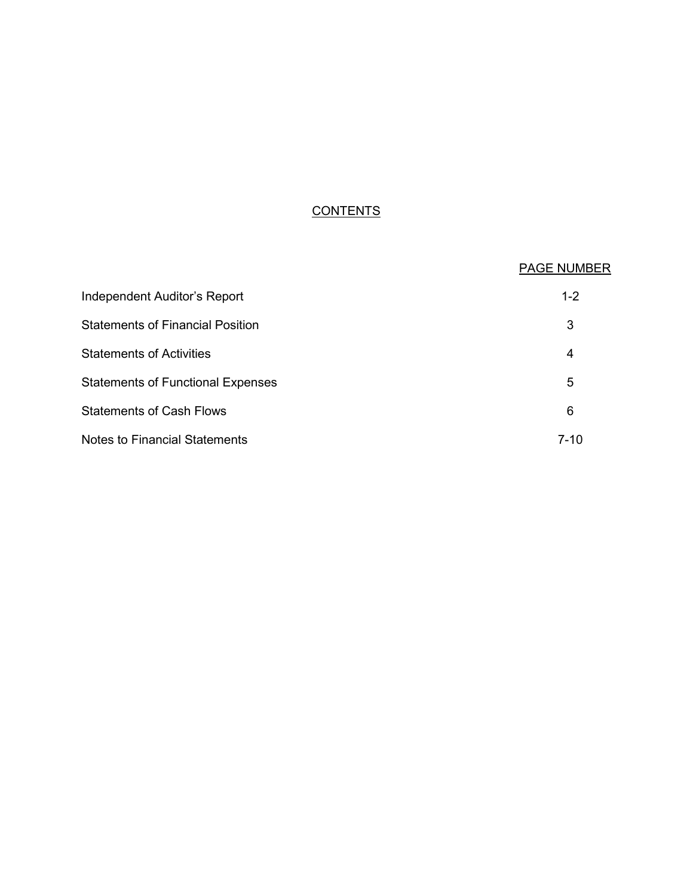# **CONTENTS**

|                                          | <b>PAGE NUMBER</b> |
|------------------------------------------|--------------------|
| Independent Auditor's Report             | $1 - 2$            |
| <b>Statements of Financial Position</b>  | 3                  |
| <b>Statements of Activities</b>          | 4                  |
| <b>Statements of Functional Expenses</b> | 5                  |
| <b>Statements of Cash Flows</b>          | 6                  |
| <b>Notes to Financial Statements</b>     | $7 - 10$           |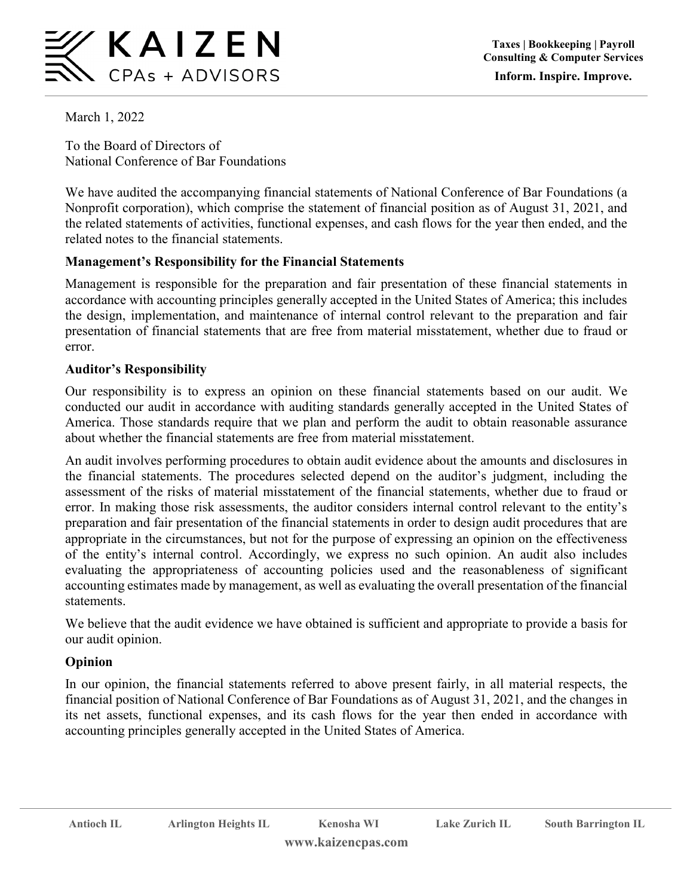

March 1, 2022

To the Board of Directors of National Conference of Bar Foundations

We have audited the accompanying financial statements of National Conference of Bar Foundations (a Nonprofit corporation), which comprise the statement of financial position as of August 31, 2021, and the related statements of activities, functional expenses, and cash flows for the year then ended, and the related notes to the financial statements.

## **Management's Responsibility for the Financial Statements**

Management is responsible for the preparation and fair presentation of these financial statements in accordance with accounting principles generally accepted in the United States of America; this includes the design, implementation, and maintenance of internal control relevant to the preparation and fair presentation of financial statements that are free from material misstatement, whether due to fraud or error.

## **Auditor's Responsibility**

Our responsibility is to express an opinion on these financial statements based on our audit. We conducted our audit in accordance with auditing standards generally accepted in the United States of America. Those standards require that we plan and perform the audit to obtain reasonable assurance about whether the financial statements are free from material misstatement.

An audit involves performing procedures to obtain audit evidence about the amounts and disclosures in the financial statements. The procedures selected depend on the auditor's judgment, including the assessment of the risks of material misstatement of the financial statements, whether due to fraud or error. In making those risk assessments, the auditor considers internal control relevant to the entity's preparation and fair presentation of the financial statements in order to design audit procedures that are appropriate in the circumstances, but not for the purpose of expressing an opinion on the effectiveness of the entity's internal control. Accordingly, we express no such opinion. An audit also includes evaluating the appropriateness of accounting policies used and the reasonableness of significant accounting estimates made by management, as well as evaluating the overall presentation of the financial statements.

We believe that the audit evidence we have obtained is sufficient and appropriate to provide a basis for our audit opinion.

## **Opinion**

In our opinion, the financial statements referred to above present fairly, in all material respects, the financial position of National Conference of Bar Foundations as of August 31, 2021, and the changes in its net assets, functional expenses, and its cash flows for the year then ended in accordance with accounting principles generally accepted in the United States of America.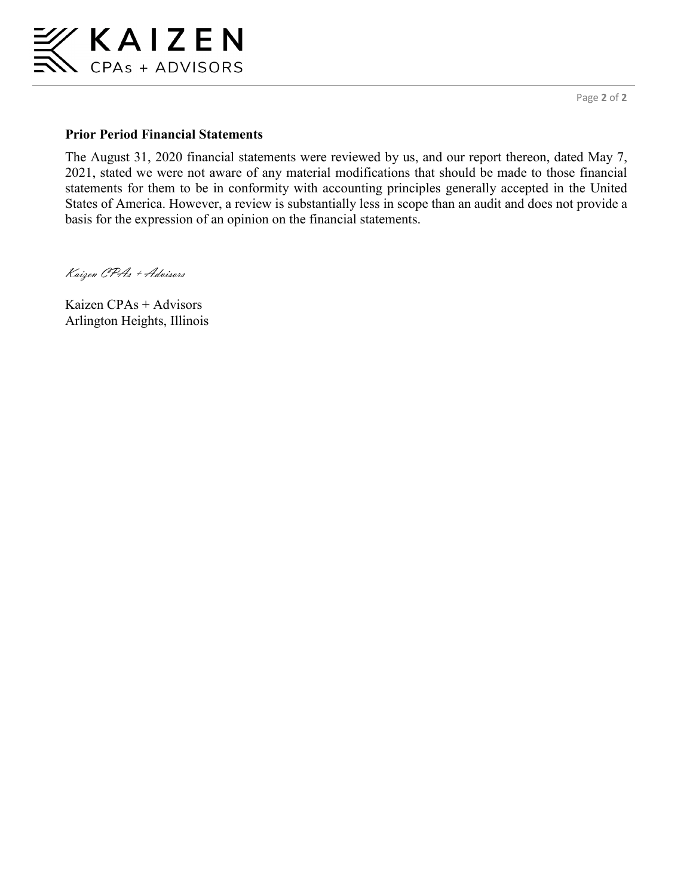

Page **2** of **2**

## **Prior Period Financial Statements**

The August 31, 2020 financial statements were reviewed by us, and our report thereon, dated May 7, 2021, stated we were not aware of any material modifications that should be made to those financial statements for them to be in conformity with accounting principles generally accepted in the United States of America. However, a review is substantially less in scope than an audit and does not provide a basis for the expression of an opinion on the financial statements.

Kaizen CPAs + Advisors

Kaizen CPAs + Advisors Arlington Heights, Illinois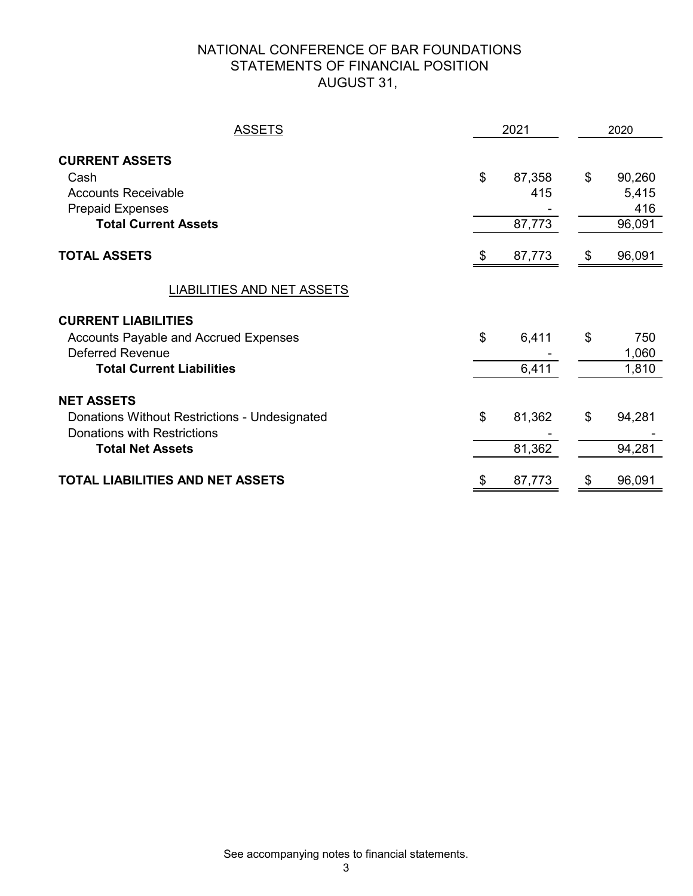## NATIONAL CONFERENCE OF BAR FOUNDATIONS STATEMENTS OF FINANCIAL POSITION AUGUST 31,

| <b>ASSETS</b>                                                                                                                             | 2021                          |    | 2020                             |  |  |
|-------------------------------------------------------------------------------------------------------------------------------------------|-------------------------------|----|----------------------------------|--|--|
| <b>CURRENT ASSETS</b><br>Cash<br><b>Accounts Receivable</b><br><b>Prepaid Expenses</b><br><b>Total Current Assets</b>                     | \$<br>87,358<br>415<br>87,773 | \$ | 90,260<br>5,415<br>416<br>96,091 |  |  |
| <b>TOTAL ASSETS</b>                                                                                                                       | \$<br>87,773                  | S  | 96,091                           |  |  |
| <b>LIABILITIES AND NET ASSETS</b>                                                                                                         |                               |    |                                  |  |  |
| <b>CURRENT LIABILITIES</b><br><b>Accounts Payable and Accrued Expenses</b><br><b>Deferred Revenue</b><br><b>Total Current Liabilities</b> | \$<br>6,411<br>6,411          | \$ | 750<br>1,060<br>1,810            |  |  |
| <b>NET ASSETS</b><br>Donations Without Restrictions - Undesignated<br><b>Donations with Restrictions</b><br><b>Total Net Assets</b>       | \$<br>81,362<br>81,362        | \$ | 94,281<br>94,281                 |  |  |
| <b>TOTAL LIABILITIES AND NET ASSETS</b>                                                                                                   | \$<br>87,773                  |    | 96,091                           |  |  |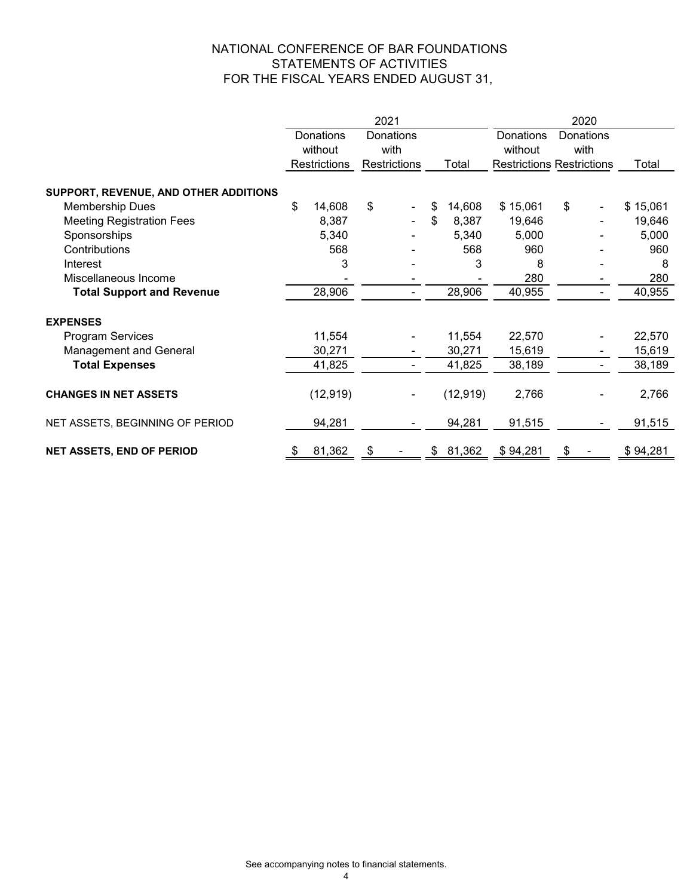## NATIONAL CONFERENCE OF BAR FOUNDATIONS STATEMENTS OF ACTIVITIES FOR THE FISCAL YEARS ENDED AUGUST 31,

|                                       |                        | 2021         |              | 2020      |                                  |          |  |
|---------------------------------------|------------------------|--------------|--------------|-----------|----------------------------------|----------|--|
|                                       | Donations<br>Donations |              |              | Donations | Donations                        |          |  |
|                                       | without                | with         |              | without   | with                             |          |  |
|                                       | <b>Restrictions</b>    | Restrictions | Total        |           | <b>Restrictions Restrictions</b> | Total    |  |
| SUPPORT, REVENUE, AND OTHER ADDITIONS |                        |              |              |           |                                  |          |  |
| <b>Membership Dues</b>                | \$<br>14,608           | \$           | 14,608<br>\$ | \$15,061  | \$                               | \$15,061 |  |
| <b>Meeting Registration Fees</b>      | 8,387                  |              | \$<br>8,387  | 19,646    |                                  | 19,646   |  |
| Sponsorships                          | 5,340                  |              | 5,340        | 5,000     |                                  | 5,000    |  |
| Contributions                         | 568                    |              | 568          | 960       |                                  | 960      |  |
| Interest                              | 3                      |              | 3            | 8         |                                  | 8        |  |
| Miscellaneous Income                  |                        |              |              | 280       |                                  | 280      |  |
| <b>Total Support and Revenue</b>      | 28,906                 |              | 28,906       | 40,955    | Ξ.                               | 40,955   |  |
| <b>EXPENSES</b>                       |                        |              |              |           |                                  |          |  |
| Program Services                      | 11,554                 |              | 11,554       | 22,570    |                                  | 22,570   |  |
| <b>Management and General</b>         | 30,271                 |              | 30,271       | 15,619    |                                  | 15,619   |  |
| <b>Total Expenses</b>                 | 41,825                 |              | 41,825       | 38,189    | Ξ.                               | 38,189   |  |
| <b>CHANGES IN NET ASSETS</b>          | (12, 919)              |              | (12, 919)    | 2,766     |                                  | 2,766    |  |
| NET ASSETS, BEGINNING OF PERIOD       | 94,281                 |              | 94,281       | 91,515    |                                  | 91,515   |  |
| <b>NET ASSETS, END OF PERIOD</b>      | 81,362<br>\$           | \$           | \$81,362     | \$94,281  | \$                               | \$94,281 |  |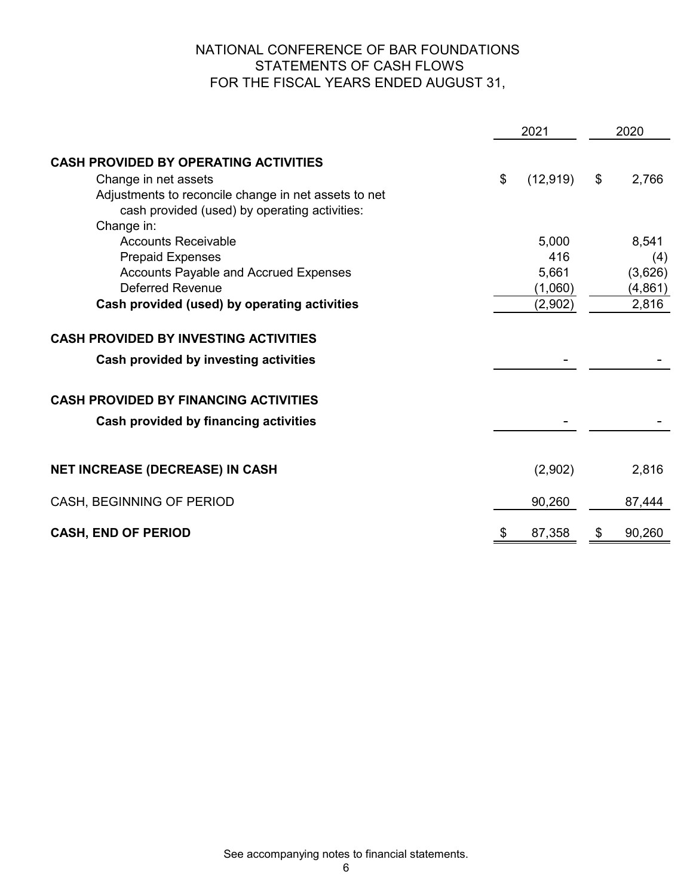## NATIONAL CONFERENCE OF BAR FOUNDATIONS STATEMENTS OF CASH FLOWS FOR THE FISCAL YEARS ENDED AUGUST 31,

|                                                                                                                                                                                                | 2021                                        |    | 2020                                         |  |  |
|------------------------------------------------------------------------------------------------------------------------------------------------------------------------------------------------|---------------------------------------------|----|----------------------------------------------|--|--|
| <b>CASH PROVIDED BY OPERATING ACTIVITIES</b><br>Change in net assets<br>Adjustments to reconcile change in net assets to net<br>cash provided (used) by operating activities:                  | \$<br>(12, 919)                             | \$ | 2,766                                        |  |  |
| Change in:<br><b>Accounts Receivable</b><br><b>Prepaid Expenses</b><br><b>Accounts Payable and Accrued Expenses</b><br><b>Deferred Revenue</b><br>Cash provided (used) by operating activities | 5,000<br>416<br>5,661<br>(1,060)<br>(2,902) |    | 8,541<br>(4)<br>(3,626)<br>(4, 861)<br>2,816 |  |  |
| <b>CASH PROVIDED BY INVESTING ACTIVITIES</b><br>Cash provided by investing activities                                                                                                          |                                             |    |                                              |  |  |
| <b>CASH PROVIDED BY FINANCING ACTIVITIES</b><br>Cash provided by financing activities                                                                                                          |                                             |    |                                              |  |  |
| <b>NET INCREASE (DECREASE) IN CASH</b>                                                                                                                                                         | (2,902)                                     |    | 2,816                                        |  |  |
| CASH, BEGINNING OF PERIOD                                                                                                                                                                      | 90,260                                      |    | 87,444                                       |  |  |
| <b>CASH, END OF PERIOD</b>                                                                                                                                                                     | \$<br>87,358                                | \$ | 90,260                                       |  |  |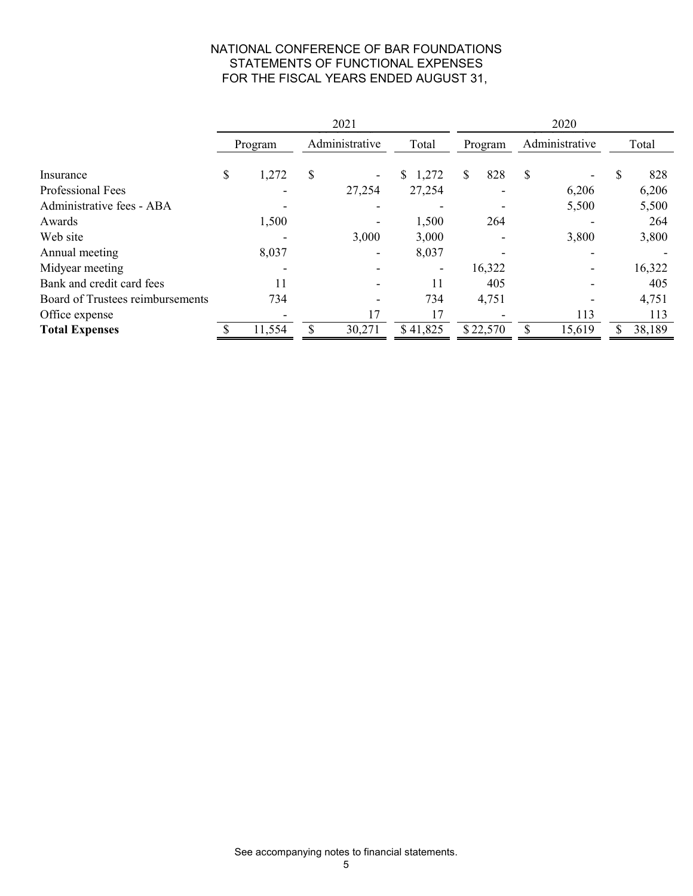## NATIONAL CONFERENCE OF BAR FOUNDATIONS STATEMENTS OF FUNCTIONAL EXPENSES FOR THE FISCAL YEARS ENDED AUGUST 31,

|                                  | 2021    |        |                |        |          | 2020      |                |        |       |        |
|----------------------------------|---------|--------|----------------|--------|----------|-----------|----------------|--------|-------|--------|
|                                  | Program |        | Administrative |        | Total    | Program   | Administrative |        | Total |        |
| Insurance                        | \$      | 1,272  | \$             |        | \$1,272  | \$<br>828 | <sup>\$</sup>  |        | \$    | 828    |
| Professional Fees                |         |        |                | 27,254 | 27,254   |           |                | 6,206  |       | 6,206  |
| Administrative fees - ABA        |         |        |                |        |          |           |                | 5,500  |       | 5,500  |
| Awards                           |         | 1,500  |                |        | 1,500    | 264       |                |        |       | 264    |
| Web site                         |         |        |                | 3,000  | 3,000    |           |                | 3,800  |       | 3,800  |
| Annual meeting                   |         | 8,037  |                |        | 8,037    |           |                |        |       |        |
| Midyear meeting                  |         |        |                |        |          | 16,322    |                |        |       | 16,322 |
| Bank and credit card fees        |         | 11     |                |        | 11       | 405       |                |        |       | 405    |
| Board of Trustees reimbursements |         | 734    |                |        | 734      | 4,751     |                |        |       | 4,751  |
| Office expense                   |         |        |                | 17     | 17       |           |                | 113    |       | 113    |
| <b>Total Expenses</b>            |         | 11,554 | Φ              | 30,271 | \$41,825 | \$22,570  | S              | 15,619 | \$    | 38,189 |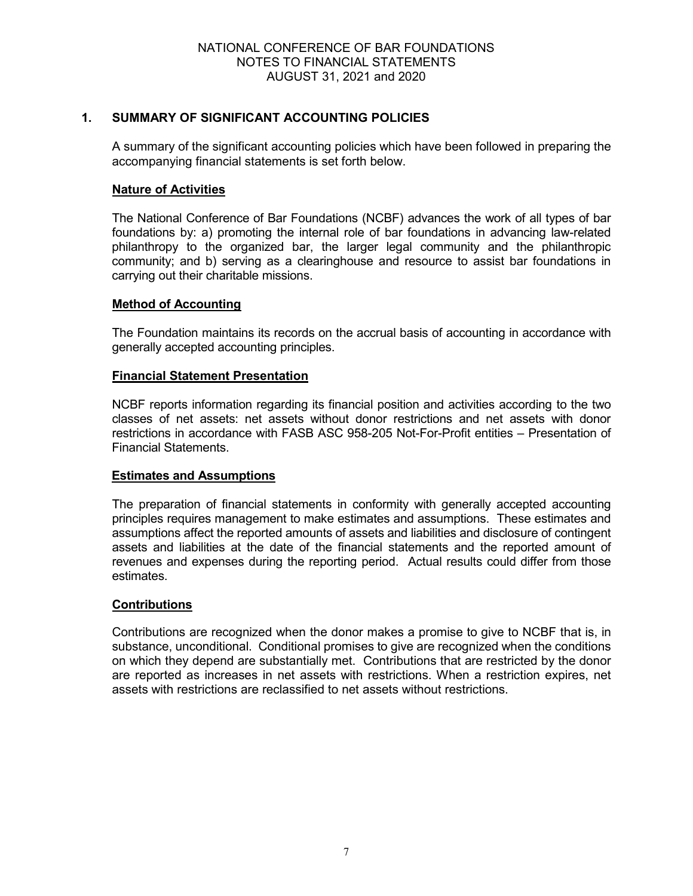## **1. SUMMARY OF SIGNIFICANT ACCOUNTING POLICIES**

A summary of the significant accounting policies which have been followed in preparing the accompanying financial statements is set forth below.

### **Nature of Activities**

The National Conference of Bar Foundations (NCBF) advances the work of all types of bar foundations by: a) promoting the internal role of bar foundations in advancing law-related philanthropy to the organized bar, the larger legal community and the philanthropic community; and b) serving as a clearinghouse and resource to assist bar foundations in carrying out their charitable missions.

#### **Method of Accounting**

The Foundation maintains its records on the accrual basis of accounting in accordance with generally accepted accounting principles.

#### **Financial Statement Presentation**

NCBF reports information regarding its financial position and activities according to the two classes of net assets: net assets without donor restrictions and net assets with donor restrictions in accordance with FASB ASC 958-205 Not-For-Profit entities – Presentation of Financial Statements.

#### **Estimates and Assumptions**

The preparation of financial statements in conformity with generally accepted accounting principles requires management to make estimates and assumptions. These estimates and assumptions affect the reported amounts of assets and liabilities and disclosure of contingent assets and liabilities at the date of the financial statements and the reported amount of revenues and expenses during the reporting period. Actual results could differ from those estimates.

#### **Contributions**

Contributions are recognized when the donor makes a promise to give to NCBF that is, in substance, unconditional. Conditional promises to give are recognized when the conditions on which they depend are substantially met. Contributions that are restricted by the donor are reported as increases in net assets with restrictions. When a restriction expires, net assets with restrictions are reclassified to net assets without restrictions.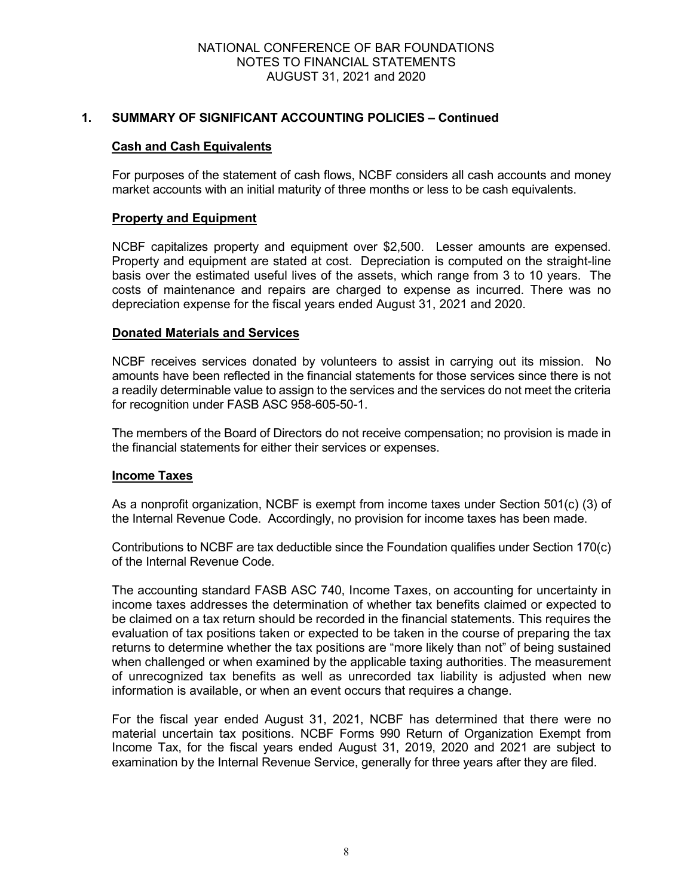#### NATIONAL CONFERENCE OF BAR FOUNDATIONS NOTES TO FINANCIAL STATEMENTS AUGUST 31, 2021 and 2020

### **1. SUMMARY OF SIGNIFICANT ACCOUNTING POLICIES – Continued**

#### **Cash and Cash Equivalents**

For purposes of the statement of cash flows, NCBF considers all cash accounts and money market accounts with an initial maturity of three months or less to be cash equivalents.

#### **Property and Equipment**

NCBF capitalizes property and equipment over \$2,500. Lesser amounts are expensed. Property and equipment are stated at cost. Depreciation is computed on the straight-line basis over the estimated useful lives of the assets, which range from 3 to 10 years. The costs of maintenance and repairs are charged to expense as incurred. There was no depreciation expense for the fiscal years ended August 31, 2021 and 2020.

#### **Donated Materials and Services**

NCBF receives services donated by volunteers to assist in carrying out its mission. No amounts have been reflected in the financial statements for those services since there is not a readily determinable value to assign to the services and the services do not meet the criteria for recognition under FASB ASC 958-605-50-1.

The members of the Board of Directors do not receive compensation; no provision is made in the financial statements for either their services or expenses.

#### **Income Taxes**

As a nonprofit organization, NCBF is exempt from income taxes under Section 501(c) (3) of the Internal Revenue Code. Accordingly, no provision for income taxes has been made.

Contributions to NCBF are tax deductible since the Foundation qualifies under Section 170(c) of the Internal Revenue Code.

The accounting standard FASB ASC 740, Income Taxes, on accounting for uncertainty in income taxes addresses the determination of whether tax benefits claimed or expected to be claimed on a tax return should be recorded in the financial statements. This requires the evaluation of tax positions taken or expected to be taken in the course of preparing the tax returns to determine whether the tax positions are "more likely than not" of being sustained when challenged or when examined by the applicable taxing authorities. The measurement of unrecognized tax benefits as well as unrecorded tax liability is adjusted when new information is available, or when an event occurs that requires a change.

For the fiscal year ended August 31, 2021, NCBF has determined that there were no material uncertain tax positions. NCBF Forms 990 Return of Organization Exempt from Income Tax, for the fiscal years ended August 31, 2019, 2020 and 2021 are subject to examination by the Internal Revenue Service, generally for three years after they are filed.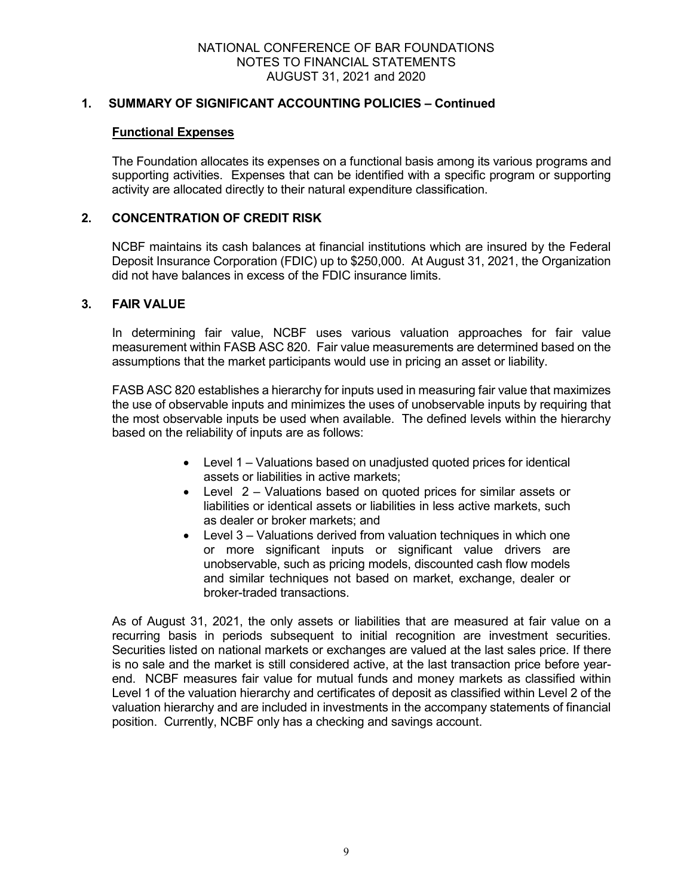#### NATIONAL CONFERENCE OF BAR FOUNDATIONS NOTES TO FINANCIAL STATEMENTS AUGUST 31, 2021 and 2020

### **1. SUMMARY OF SIGNIFICANT ACCOUNTING POLICIES – Continued**

#### **Functional Expenses**

The Foundation allocates its expenses on a functional basis among its various programs and supporting activities. Expenses that can be identified with a specific program or supporting activity are allocated directly to their natural expenditure classification.

## **2. CONCENTRATION OF CREDIT RISK**

NCBF maintains its cash balances at financial institutions which are insured by the Federal Deposit Insurance Corporation (FDIC) up to \$250,000. At August 31, 2021, the Organization did not have balances in excess of the FDIC insurance limits.

#### **3. FAIR VALUE**

In determining fair value, NCBF uses various valuation approaches for fair value measurement within FASB ASC 820. Fair value measurements are determined based on the assumptions that the market participants would use in pricing an asset or liability.

FASB ASC 820 establishes a hierarchy for inputs used in measuring fair value that maximizes the use of observable inputs and minimizes the uses of unobservable inputs by requiring that the most observable inputs be used when available. The defined levels within the hierarchy based on the reliability of inputs are as follows:

- Level 1 Valuations based on unadjusted quoted prices for identical assets or liabilities in active markets;
- Level 2 Valuations based on quoted prices for similar assets or liabilities or identical assets or liabilities in less active markets, such as dealer or broker markets; and
- Level 3 Valuations derived from valuation techniques in which one or more significant inputs or significant value drivers are unobservable, such as pricing models, discounted cash flow models and similar techniques not based on market, exchange, dealer or broker-traded transactions.

As of August 31, 2021, the only assets or liabilities that are measured at fair value on a recurring basis in periods subsequent to initial recognition are investment securities. Securities listed on national markets or exchanges are valued at the last sales price. If there is no sale and the market is still considered active, at the last transaction price before yearend. NCBF measures fair value for mutual funds and money markets as classified within Level 1 of the valuation hierarchy and certificates of deposit as classified within Level 2 of the valuation hierarchy and are included in investments in the accompany statements of financial position. Currently, NCBF only has a checking and savings account.